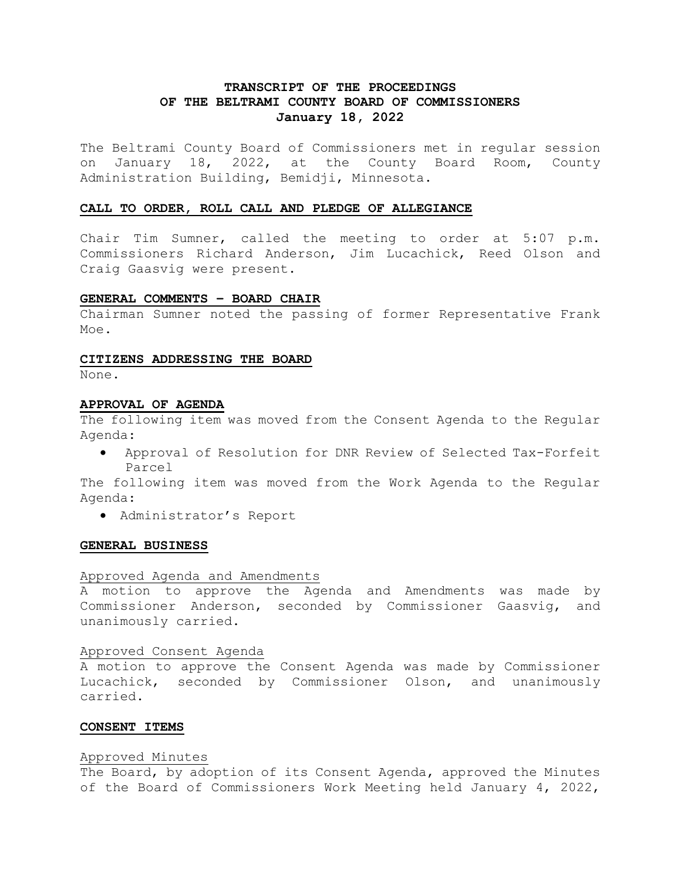# **TRANSCRIPT OF THE PROCEEDINGS OF THE BELTRAMI COUNTY BOARD OF COMMISSIONERS January 18, 2022**

The Beltrami County Board of Commissioners met in regular session on January 18, 2022, at the County Board Room, County Administration Building, Bemidji, Minnesota.

#### **CALL TO ORDER, ROLL CALL AND PLEDGE OF ALLEGIANCE**

Chair Tim Sumner, called the meeting to order at 5:07 p.m. Commissioners Richard Anderson, Jim Lucachick, Reed Olson and Craig Gaasvig were present.

### **GENERAL COMMENTS – BOARD CHAIR**

Chairman Sumner noted the passing of former Representative Frank Moe.

#### **CITIZENS ADDRESSING THE BOARD**

None.

#### **APPROVAL OF AGENDA**

The following item was moved from the Consent Agenda to the Regular Agenda:

• Approval of Resolution for DNR Review of Selected Tax-Forfeit Parcel

The following item was moved from the Work Agenda to the Regular Agenda:

• Administrator's Report

#### **GENERAL BUSINESS**

### Approved Agenda and Amendments

A motion to approve the Agenda and Amendments was made by Commissioner Anderson, seconded by Commissioner Gaasvig, and unanimously carried.

### Approved Consent Agenda

A motion to approve the Consent Agenda was made by Commissioner Lucachick, seconded by Commissioner Olson, and unanimously carried.

## **CONSENT ITEMS**

#### Approved Minutes

The Board, by adoption of its Consent Agenda, approved the Minutes of the Board of Commissioners Work Meeting held January 4, 2022,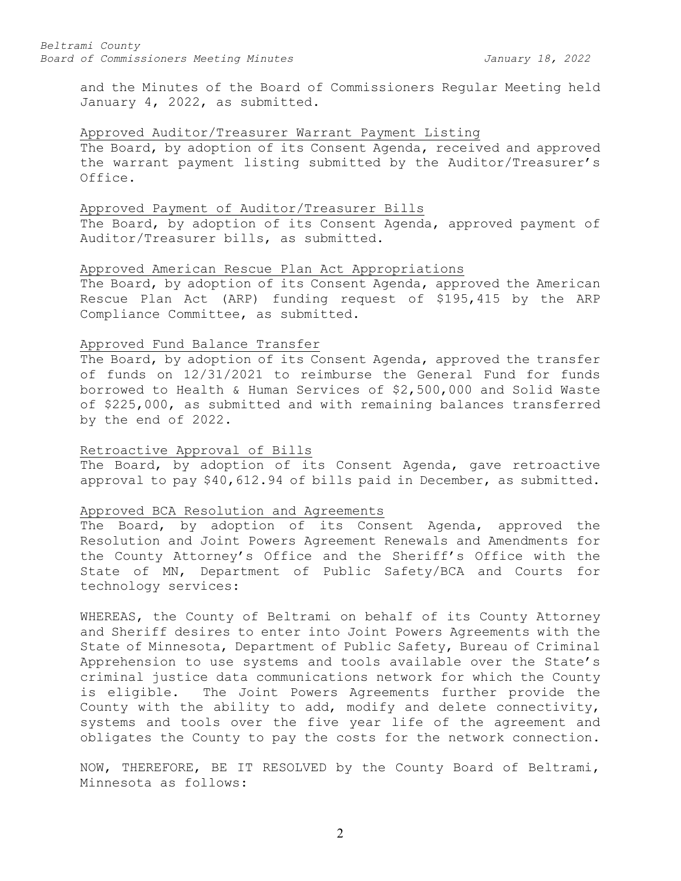and the Minutes of the Board of Commissioners Regular Meeting held January 4, 2022, as submitted.

### Approved Auditor/Treasurer Warrant Payment Listing

The Board, by adoption of its Consent Agenda, received and approved the warrant payment listing submitted by the Auditor/Treasurer's Office.

### Approved Payment of Auditor/Treasurer Bills

The Board, by adoption of its Consent Agenda, approved payment of Auditor/Treasurer bills, as submitted.

## Approved American Rescue Plan Act Appropriations

The Board, by adoption of its Consent Agenda, approved the American Rescue Plan Act (ARP) funding request of \$195,415 by the ARP Compliance Committee, as submitted.

### Approved Fund Balance Transfer

The Board, by adoption of its Consent Agenda, approved the transfer of funds on 12/31/2021 to reimburse the General Fund for funds borrowed to Health & Human Services of \$2,500,000 and Solid Waste of \$225,000, as submitted and with remaining balances transferred by the end of 2022.

### Retroactive Approval of Bills

The Board, by adoption of its Consent Agenda, gave retroactive approval to pay \$40,612.94 of bills paid in December, as submitted.

#### Approved BCA Resolution and Agreements

The Board, by adoption of its Consent Agenda, approved the Resolution and Joint Powers Agreement Renewals and Amendments for the County Attorney's Office and the Sheriff's Office with the State of MN, Department of Public Safety/BCA and Courts for technology services:

WHEREAS, the County of Beltrami on behalf of its County Attorney and Sheriff desires to enter into Joint Powers Agreements with the State of Minnesota, Department of Public Safety, Bureau of Criminal Apprehension to use systems and tools available over the State's criminal justice data communications network for which the County is eligible. The Joint Powers Agreements further provide the County with the ability to add, modify and delete connectivity, systems and tools over the five year life of the agreement and obligates the County to pay the costs for the network connection.

NOW, THEREFORE, BE IT RESOLVED by the County Board of Beltrami, Minnesota as follows: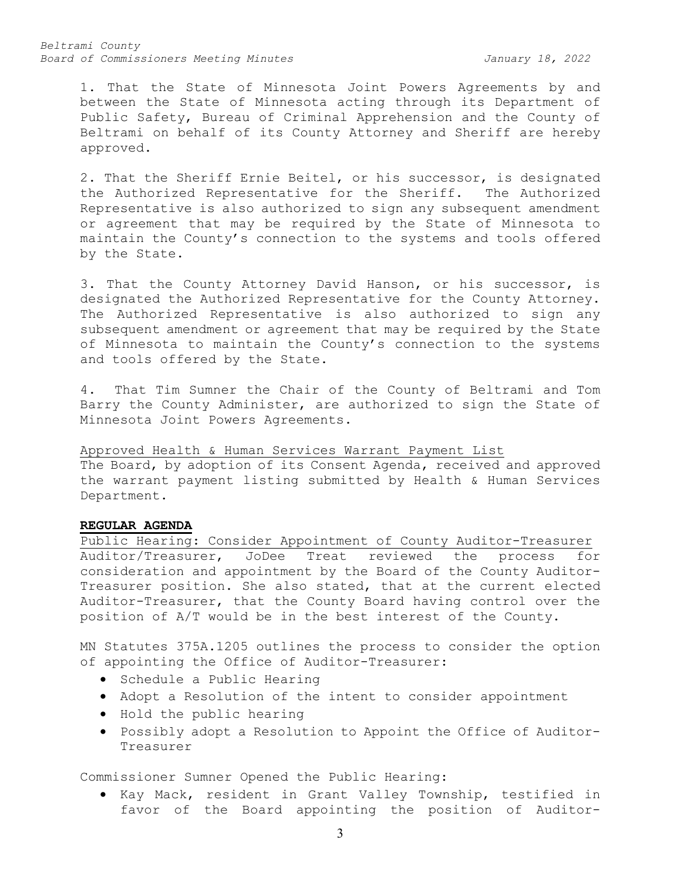*Beltrami County Board of Commissioners Meeting Minutes January 18, 2022*

1. That the State of Minnesota Joint Powers Agreements by and between the State of Minnesota acting through its Department of Public Safety, Bureau of Criminal Apprehension and the County of Beltrami on behalf of its County Attorney and Sheriff are hereby approved.

2. That the Sheriff Ernie Beitel, or his successor, is designated the Authorized Representative for the Sheriff. The Authorized Representative is also authorized to sign any subsequent amendment or agreement that may be required by the State of Minnesota to maintain the County's connection to the systems and tools offered by the State.

3. That the County Attorney David Hanson, or his successor, is designated the Authorized Representative for the County Attorney. The Authorized Representative is also authorized to sign any subsequent amendment or agreement that may be required by the State of Minnesota to maintain the County's connection to the systems and tools offered by the State.

4. That Tim Sumner the Chair of the County of Beltrami and Tom Barry the County Administer, are authorized to sign the State of Minnesota Joint Powers Agreements.

Approved Health & Human Services Warrant Payment List The Board, by adoption of its Consent Agenda, received and approved the warrant payment listing submitted by Health & Human Services Department.

### **REGULAR AGENDA**

Public Hearing: Consider Appointment of County Auditor-Treasurer<br>Auditor/Treasurer, JoDee Treat reviewed the process for JoDee Treat reviewed the process for consideration and appointment by the Board of the County Auditor-Treasurer position. She also stated, that at the current elected Auditor-Treasurer, that the County Board having control over the position of A/T would be in the best interest of the County.

MN Statutes 375A.1205 outlines the process to consider the option of appointing the Office of Auditor-Treasurer:

- Schedule a Public Hearing
- Adopt a Resolution of the intent to consider appointment
- Hold the public hearing
- Possibly adopt a Resolution to Appoint the Office of Auditor-Treasurer

Commissioner Sumner Opened the Public Hearing:

• Kay Mack, resident in Grant Valley Township, testified in favor of the Board appointing the position of Auditor-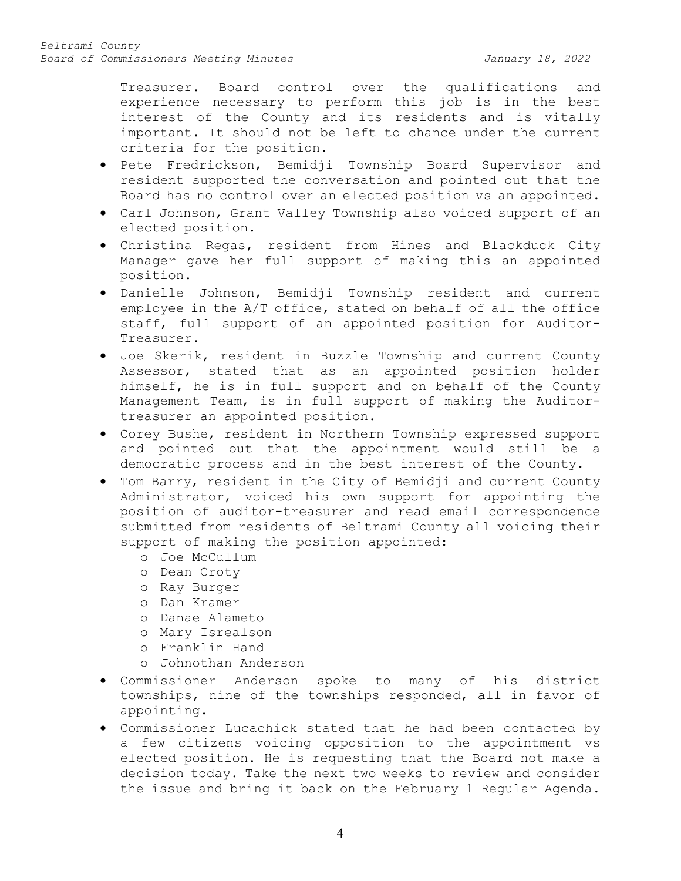Treasurer. Board control over the qualifications and experience necessary to perform this job is in the best interest of the County and its residents and is vitally important. It should not be left to chance under the current criteria for the position.

- Pete Fredrickson, Bemidji Township Board Supervisor and resident supported the conversation and pointed out that the Board has no control over an elected position vs an appointed.
- Carl Johnson, Grant Valley Township also voiced support of an elected position.
- Christina Regas, resident from Hines and Blackduck City Manager gave her full support of making this an appointed position.
- Danielle Johnson, Bemidji Township resident and current employee in the A/T office, stated on behalf of all the office staff, full support of an appointed position for Auditor-Treasurer.
- Joe Skerik, resident in Buzzle Township and current County Assessor, stated that as an appointed position holder himself, he is in full support and on behalf of the County Management Team, is in full support of making the Auditortreasurer an appointed position.
- Corey Bushe, resident in Northern Township expressed support and pointed out that the appointment would still be a democratic process and in the best interest of the County.
- Tom Barry, resident in the City of Bemidji and current County Administrator, voiced his own support for appointing the position of auditor-treasurer and read email correspondence submitted from residents of Beltrami County all voicing their support of making the position appointed:
	- o Joe McCullum
	- o Dean Croty
	- o Ray Burger
	- o Dan Kramer
	- o Danae Alameto
	- o Mary Isrealson
	- o Franklin Hand
	- o Johnothan Anderson
- Commissioner Anderson spoke to many of his district townships, nine of the townships responded, all in favor of appointing.
- Commissioner Lucachick stated that he had been contacted by a few citizens voicing opposition to the appointment vs elected position. He is requesting that the Board not make a decision today. Take the next two weeks to review and consider the issue and bring it back on the February 1 Regular Agenda.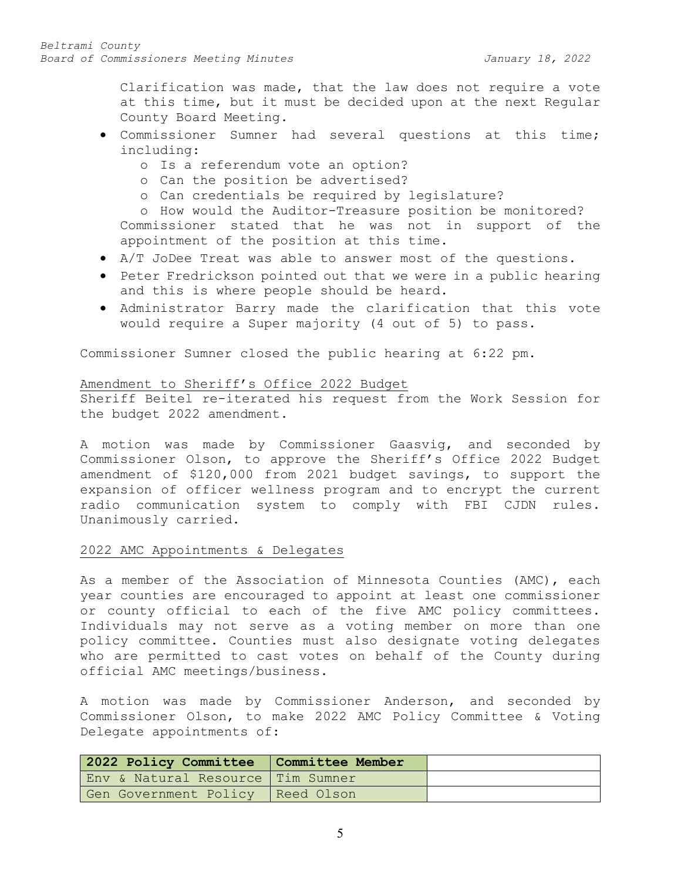Clarification was made, that the law does not require a vote at this time, but it must be decided upon at the next Regular County Board Meeting.

- Commissioner Sumner had several questions at this time; including:
	- o Is a referendum vote an option?
	- o Can the position be advertised?
	- o Can credentials be required by legislature?

o How would the Auditor-Treasure position be monitored? Commissioner stated that he was not in support of the appointment of the position at this time.

- A/T JoDee Treat was able to answer most of the questions.
- Peter Fredrickson pointed out that we were in a public hearing and this is where people should be heard.
- Administrator Barry made the clarification that this vote would require a Super majority (4 out of 5) to pass.

Commissioner Sumner closed the public hearing at 6:22 pm.

### Amendment to Sheriff's Office 2022 Budget

Sheriff Beitel re-iterated his request from the Work Session for the budget 2022 amendment.

A motion was made by Commissioner Gaasvig, and seconded by Commissioner Olson, to approve the Sheriff's Office 2022 Budget amendment of \$120,000 from 2021 budget savings, to support the expansion of officer wellness program and to encrypt the current radio communication system to comply with FBI CJDN rules. Unanimously carried.

### 2022 AMC Appointments & Delegates

As a member of the Association of Minnesota Counties (AMC), each year counties are encouraged to appoint at least one commissioner or county official to each of the five AMC policy committees. Individuals may not serve as a voting member on more than one policy committee. Counties must also designate voting delegates who are permitted to cast votes on behalf of the County during official AMC meetings/business.

A motion was made by Commissioner Anderson, and seconded by Commissioner Olson, to make 2022 AMC Policy Committee & Voting Delegate appointments of:

| 2022 Policy Committee   Committee Member |  |
|------------------------------------------|--|
| Env & Natural Resource Tim Sumner        |  |
| Gen Government Policy   Reed Olson       |  |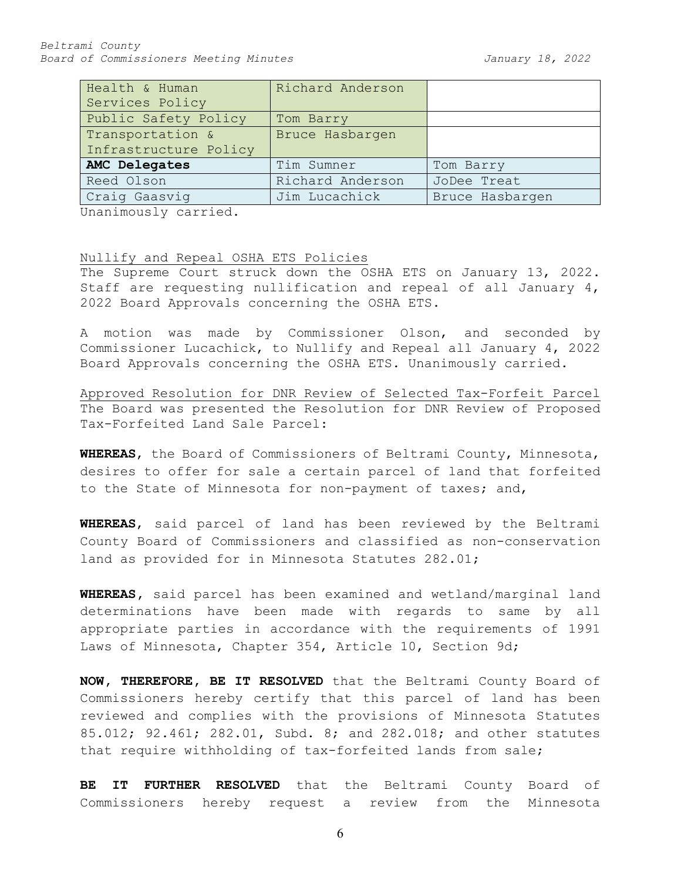| Richard Anderson |                 |  |
|------------------|-----------------|--|
|                  |                 |  |
| Tom Barry        |                 |  |
| Bruce Hasbargen  |                 |  |
|                  |                 |  |
| Tim Sumner       | Tom Barry       |  |
| Richard Anderson | JoDee Treat     |  |
| Jim Lucachick    | Bruce Hasbargen |  |
|                  |                 |  |

Unanimously carried.

### Nullify and Repeal OSHA ETS Policies

The Supreme Court struck down the OSHA ETS on January 13, 2022. Staff are requesting nullification and repeal of all January 4, 2022 Board Approvals concerning the OSHA ETS.

A motion was made by Commissioner Olson, and seconded by Commissioner Lucachick, to Nullify and Repeal all January 4, 2022 Board Approvals concerning the OSHA ETS. Unanimously carried.

Approved Resolution for DNR Review of Selected Tax-Forfeit Parcel The Board was presented the Resolution for DNR Review of Proposed Tax-Forfeited Land Sale Parcel:

**WHEREAS**, the Board of Commissioners of Beltrami County, Minnesota, desires to offer for sale a certain parcel of land that forfeited to the State of Minnesota for non-payment of taxes; and,

**WHEREAS**, said parcel of land has been reviewed by the Beltrami County Board of Commissioners and classified as non-conservation land as provided for in Minnesota Statutes 282.01;

**WHEREAS,** said parcel has been examined and wetland/marginal land determinations have been made with regards to same by all appropriate parties in accordance with the requirements of 1991 Laws of Minnesota, Chapter 354, Article 10, Section 9d;

**NOW, THEREFORE, BE IT RESOLVED** that the Beltrami County Board of Commissioners hereby certify that this parcel of land has been reviewed and complies with the provisions of Minnesota Statutes 85.012; 92.461; 282.01, Subd. 8; and 282.018; and other statutes that require withholding of tax-forfeited lands from sale;

**BE IT FURTHER RESOLVED** that the Beltrami County Board of Commissioners hereby request a review from the Minnesota

6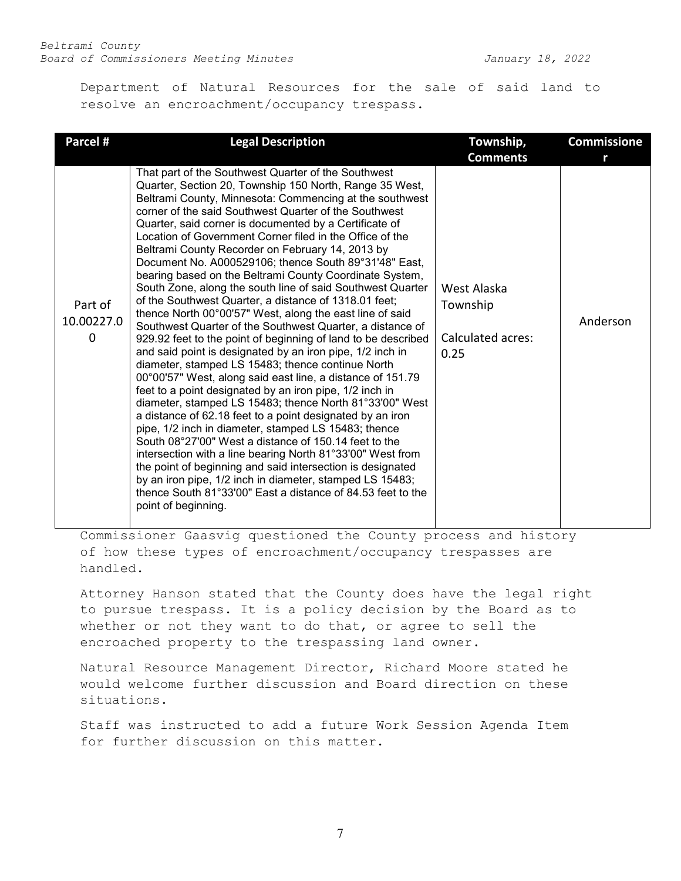Department of Natural Resources for the sale of said land to resolve an encroachment/occupancy trespass.

| Parcel #                             | <b>Legal Description</b>                                                                                                                                                                                                                                                                                                                                                                                                                                                                                                                                                                                                                                                                                                                                                                                                                                                                                                                                                                                                                                                                                                                                                                                                                                                                                                                                                                                                                                                                                                                                                                                            | Township,                                            | <b>Commissione</b> |
|--------------------------------------|---------------------------------------------------------------------------------------------------------------------------------------------------------------------------------------------------------------------------------------------------------------------------------------------------------------------------------------------------------------------------------------------------------------------------------------------------------------------------------------------------------------------------------------------------------------------------------------------------------------------------------------------------------------------------------------------------------------------------------------------------------------------------------------------------------------------------------------------------------------------------------------------------------------------------------------------------------------------------------------------------------------------------------------------------------------------------------------------------------------------------------------------------------------------------------------------------------------------------------------------------------------------------------------------------------------------------------------------------------------------------------------------------------------------------------------------------------------------------------------------------------------------------------------------------------------------------------------------------------------------|------------------------------------------------------|--------------------|
|                                      |                                                                                                                                                                                                                                                                                                                                                                                                                                                                                                                                                                                                                                                                                                                                                                                                                                                                                                                                                                                                                                                                                                                                                                                                                                                                                                                                                                                                                                                                                                                                                                                                                     | <b>Comments</b>                                      |                    |
| Part of<br>10.00227.0<br>$\mathbf 0$ | That part of the Southwest Quarter of the Southwest<br>Quarter, Section 20, Township 150 North, Range 35 West,<br>Beltrami County, Minnesota: Commencing at the southwest<br>corner of the said Southwest Quarter of the Southwest<br>Quarter, said corner is documented by a Certificate of<br>Location of Government Corner filed in the Office of the<br>Beltrami County Recorder on February 14, 2013 by<br>Document No. A000529106; thence South 89°31'48" East,<br>bearing based on the Beltrami County Coordinate System,<br>South Zone, along the south line of said Southwest Quarter<br>of the Southwest Quarter, a distance of 1318.01 feet;<br>thence North 00°00'57" West, along the east line of said<br>Southwest Quarter of the Southwest Quarter, a distance of<br>929.92 feet to the point of beginning of land to be described<br>and said point is designated by an iron pipe, 1/2 inch in<br>diameter, stamped LS 15483; thence continue North<br>00°00'57" West, along said east line, a distance of 151.79<br>feet to a point designated by an iron pipe, 1/2 inch in<br>diameter, stamped LS 15483; thence North 81°33'00" West<br>a distance of 62.18 feet to a point designated by an iron<br>pipe, 1/2 inch in diameter, stamped LS 15483; thence<br>South 08°27'00" West a distance of 150.14 feet to the<br>intersection with a line bearing North 81°33'00" West from<br>the point of beginning and said intersection is designated<br>by an iron pipe, 1/2 inch in diameter, stamped LS 15483;<br>thence South 81°33'00" East a distance of 84.53 feet to the<br>point of beginning. | West Alaska<br>Township<br>Calculated acres:<br>0.25 | Anderson           |

Commissioner Gaasvig questioned the County process and history of how these types of encroachment/occupancy trespasses are handled.

Attorney Hanson stated that the County does have the legal right to pursue trespass. It is a policy decision by the Board as to whether or not they want to do that, or agree to sell the encroached property to the trespassing land owner.

Natural Resource Management Director, Richard Moore stated he would welcome further discussion and Board direction on these situations.

Staff was instructed to add a future Work Session Agenda Item for further discussion on this matter.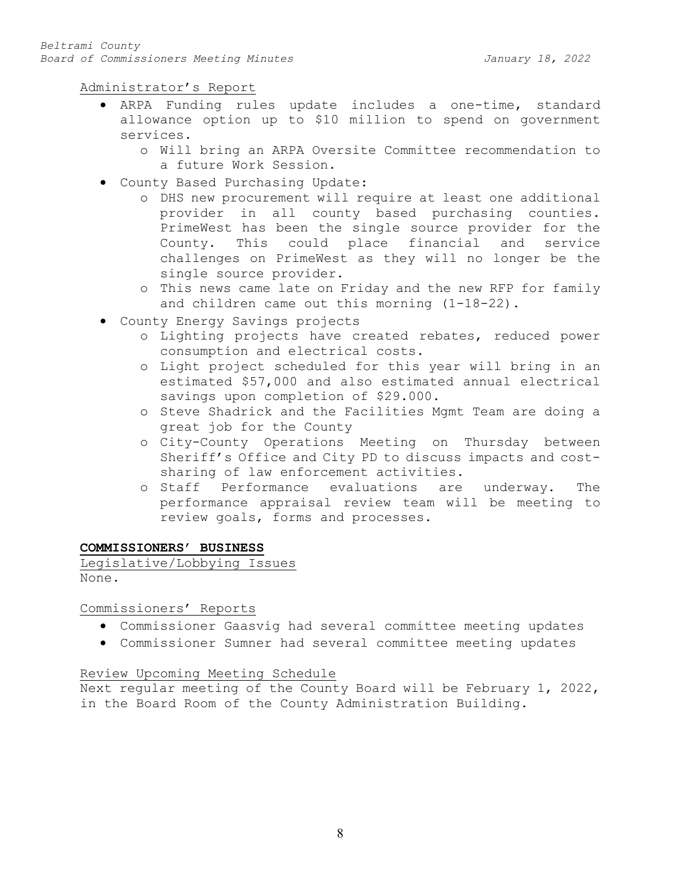Administrator's Report

- ARPA Funding rules update includes a one-time, standard allowance option up to \$10 million to spend on government services.
	- o Will bring an ARPA Oversite Committee recommendation to a future Work Session.
- County Based Purchasing Update:
	- o DHS new procurement will require at least one additional provider in all county based purchasing counties. PrimeWest has been the single source provider for the County. This could place financial and service challenges on PrimeWest as they will no longer be the single source provider.
	- o This news came late on Friday and the new RFP for family and children came out this morning (1-18-22).
- County Energy Savings projects
	- o Lighting projects have created rebates, reduced power consumption and electrical costs.
	- o Light project scheduled for this year will bring in an estimated \$57,000 and also estimated annual electrical savings upon completion of \$29.000.
	- o Steve Shadrick and the Facilities Mgmt Team are doing a great job for the County
	- o City-County Operations Meeting on Thursday between Sheriff's Office and City PD to discuss impacts and costsharing of law enforcement activities.
	- o Staff Performance evaluations are underway. The performance appraisal review team will be meeting to review goals, forms and processes.

## **COMMISSIONERS' BUSINESS**

Legislative/Lobbying Issues None.

Commissioners' Reports

- Commissioner Gaasvig had several committee meeting updates
- Commissioner Sumner had several committee meeting updates

## Review Upcoming Meeting Schedule

Next regular meeting of the County Board will be February 1, 2022, in the Board Room of the County Administration Building.